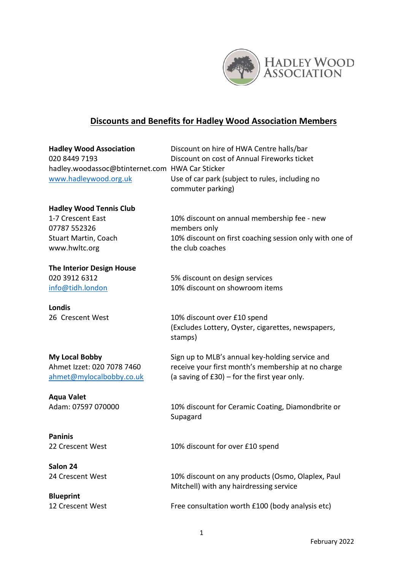

## **Discounts and Benefits for Hadley Wood Association Members**

| <b>Hadley Wood Association</b><br>020 8449 7193<br>hadley.woodassoc@btinternet.com HWA Car Sticker<br>www.hadleywood.org.uk | Discount on hire of HWA Centre halls/bar<br>Discount on cost of Annual Fireworks ticket<br>Use of car park (subject to rules, including no<br>commuter parking) |
|-----------------------------------------------------------------------------------------------------------------------------|-----------------------------------------------------------------------------------------------------------------------------------------------------------------|
| <b>Hadley Wood Tennis Club</b>                                                                                              |                                                                                                                                                                 |
| 1-7 Crescent East                                                                                                           | 10% discount on annual membership fee - new                                                                                                                     |
| 07787 552326                                                                                                                | members only                                                                                                                                                    |
| <b>Stuart Martin, Coach</b>                                                                                                 | 10% discount on first coaching session only with one of                                                                                                         |
| www.hwltc.org                                                                                                               | the club coaches                                                                                                                                                |
| <b>The Interior Design House</b>                                                                                            |                                                                                                                                                                 |
| 020 3912 6312                                                                                                               | 5% discount on design services                                                                                                                                  |
| info@tidh.london                                                                                                            | 10% discount on showroom items                                                                                                                                  |
| <b>Londis</b>                                                                                                               |                                                                                                                                                                 |
| 26 Crescent West                                                                                                            | 10% discount over £10 spend<br>(Excludes Lottery, Oyster, cigarettes, newspapers,<br>stamps)                                                                    |
| <b>My Local Bobby</b>                                                                                                       | Sign up to MLB's annual key-holding service and                                                                                                                 |
| Ahmet Izzet: 020 7078 7460<br>ahmet@mylocalbobby.co.uk                                                                      | receive your first month's membership at no charge<br>(a saving of $£30$ ) – for the first year only.                                                           |
| <b>Aqua Valet</b>                                                                                                           |                                                                                                                                                                 |
| Adam: 07597 070000                                                                                                          | 10% discount for Ceramic Coating, Diamondbrite or<br>Supagard                                                                                                   |
| <b>Paninis</b>                                                                                                              |                                                                                                                                                                 |
| 22 Crescent West                                                                                                            | 10% discount for over £10 spend                                                                                                                                 |
| Salon 24                                                                                                                    |                                                                                                                                                                 |
| 24 Crescent West                                                                                                            | 10% discount on any products (Osmo, Olaplex, Paul<br>Mitchell) with any hairdressing service                                                                    |
| <b>Blueprint</b>                                                                                                            |                                                                                                                                                                 |
| 12 Crescent West                                                                                                            | Free consultation worth £100 (body analysis etc)                                                                                                                |